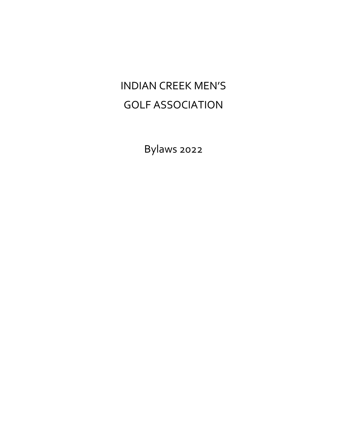# INDIAN CREEK MEN'S GOLF ASSOCIATION

Bylaws 2022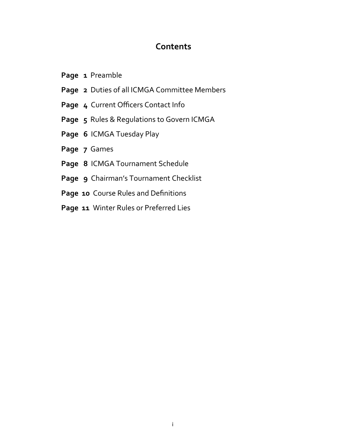## **Contents**

- Page 1 Preamble
- **Page 2** Duties of all ICMGA Committee Members
- **Page 4** Current Officers Contact Info
- **Page 5** Rules & Regulations to Govern ICMGA
- **Page 6** ICMGA Tuesday Play
- **Page 7** Games
- **Page 8** ICMGA Tournament Schedule
- **Page 9** Chairman's Tournament Checklist
- Page 10 Course Rules and Definitions
- **Page 11** Winter Rules or Preferred Lies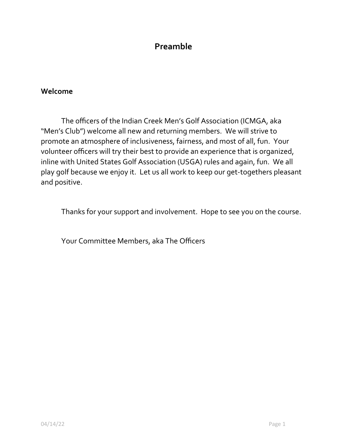# **Preamble**

## **Welcome**

The officers of the Indian Creek Men's Golf Association (ICMGA, aka "Men's Club") welcome all new and returning members. We will strive to promote an atmosphere of inclusiveness, fairness, and most of all, fun. Your volunteer officers will try their best to provide an experience that is organized, inline with United States Golf Association (USGA) rules and again, fun. We all play golf because we enjoy it. Let us all work to keep our get-togethers pleasant and positive.

Thanks for your support and involvement. Hope to see you on the course.

Your Committee Members, aka The Officers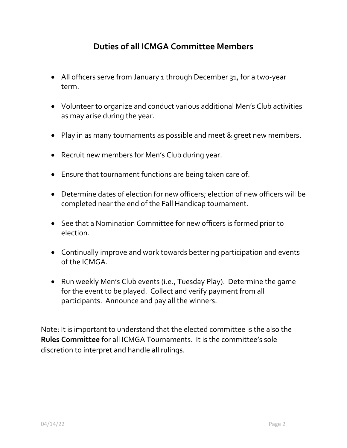# **Duties of all ICMGA Committee Members**

- All officers serve from January 1 through December 31, for a two-year term.
- Volunteer to organize and conduct various additional Men's Club activities as may arise during the year.
- Play in as many tournaments as possible and meet & greet new members.
- Recruit new members for Men's Club during year.
- Ensure that tournament functions are being taken care of.
- Determine dates of election for new officers; election of new officers will be completed near the end of the Fall Handicap tournament.
- See that a Nomination Committee for new officers is formed prior to election.
- Continually improve and work towards bettering participation and events of the ICMGA.
- Run weekly Men's Club events (i.e., Tuesday Play). Determine the game for the event to be played. Collect and verify payment from all participants. Announce and pay all the winners.

Note: It is important to understand that the elected committee is the also the **Rules Committee** for all ICMGA Tournaments. It is the committee's sole discretion to interpret and handle all rulings.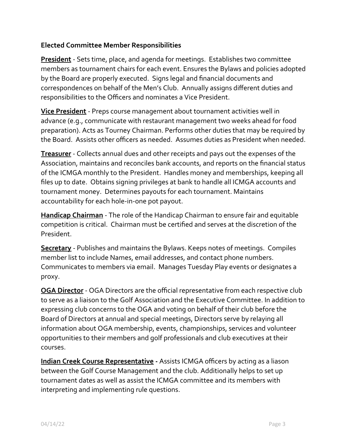#### **Elected Committee Member Responsibilities**

**President** - Sets time, place, and agenda for meetings. Establishes two committee members as tournament chairs for each event. Ensures the Bylaws and policies adopted by the Board are properly executed. Signs legal and financial documents and correspondences on behalf of the Men's Club. Annually assigns different duties and responsibilities to the Officers and nominates a Vice President.

**Vice President** - Preps course management about tournament activities well in advance (e.g., communicate with restaurant management two weeks ahead for food preparation). Acts as Tourney Chairman. Performs other duties that may be required by the Board. Assists other officers as needed. Assumes duties as President when needed.

**Treasurer** - Collects annual dues and other receipts and pays out the expenses of the Association, maintains and reconciles bank accounts, and reports on the financial status of the ICMGA monthly to the President. Handles money and memberships, keeping all files up to date. Obtains signing privileges at bank to handle all ICMGA accounts and tournament money. Determines payouts for each tournament. Maintains accountability for each hole-in-one pot payout.

**Handicap Chairman** - The role of the Handicap Chairman to ensure fair and equitable competition is critical. Chairman must be certified and serves at the discretion of the President.

**Secretary** - Publishes and maintains the Bylaws. Keeps notes of meetings. Compiles member list to include Names, email addresses, and contact phone numbers. Communicates to members via email. Manages Tuesday Play events or designates a proxy.

**OGA Director** - OGA Directors are the official representative from each respective club to serve as a liaison to the Golf Association and the Executive Committee. In addition to expressing club concerns to the OGA and voting on behalf of their club before the Board of Directors at annual and special meetings, Directors serve by relaying all information about OGA membership, events, championships, services and volunteer opportunities to their members and golf professionals and club executives at their courses.

**Indian Creek Course Representative -** Assists ICMGA officers by acting as a liason between the Golf Course Management and the club. Additionally helps to set up tournament dates as well as assist the ICMGA committee and its members with interpreting and implementing rule questions.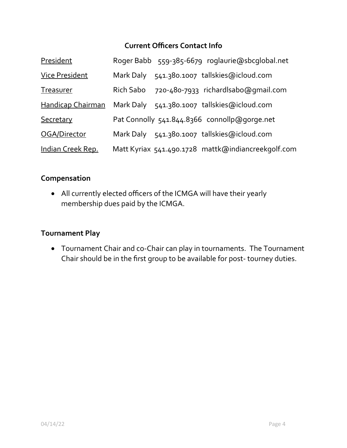## **Current Officers Contact Info**

| President                |           | Roger Babb 559-385-6679 roglaurie@sbcglobal.net    |
|--------------------------|-----------|----------------------------------------------------|
| <b>Vice President</b>    |           | Mark Daly 541.380.1007 tallskies@icloud.com        |
| Treasurer                | Rich Sabo | 720-480-7933 richardlsabo@gmail.com                |
| <b>Handicap Chairman</b> |           | Mark Daly 541.380.1007 tallskies@icloud.com        |
| Secretary                |           | Pat Connolly 541.844.8366 connollp@gorge.net       |
| OGA/Director             |           | Mark Daly 541.380.1007 tallskies@icloud.com        |
| Indian Creek Rep.        |           | Matt Kyriax 541.490.1728 mattk@indiancreekqolf.com |

## **Compensation**

 All currently elected officers of the ICMGA will have their yearly membership dues paid by the ICMGA.

#### **Tournament Play**

 Tournament Chair and co-Chair can play in tournaments. The Tournament Chair should be in the first group to be available for post- tourney duties.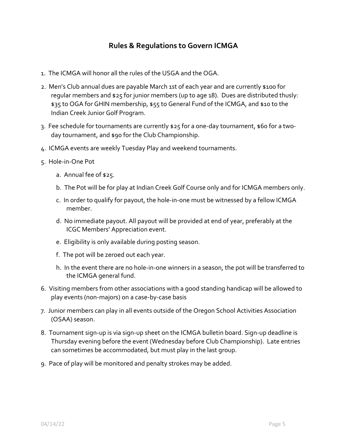## **Rules & Regulations to Govern ICMGA**

- 1. The ICMGA will honor all the rules of the USGA and the OGA.
- 2. Men's Club annual dues are payable March 1st of each year and are currently \$100 for regular members and \$25 for junior members (up to age 18). Dues are distributed thusly: \$35 to OGA for GHIN membership, \$55 to General Fund of the ICMGA, and \$10 to the Indian Creek Junior Golf Program.
- 3. Fee schedule for tournaments are currently \$25 for a one-day tournament, \$60 for a twoday tournament, and \$90 for the Club Championship.
- 4. ICMGA events are weekly Tuesday Play and weekend tournaments.
- 5. Hole-in-One Pot
	- a. Annual fee of \$25.
	- b. The Pot will be for play at Indian Creek Golf Course only and for ICMGA members only.
	- c. In order to qualify for payout, the hole-in-one must be witnessed by a fellow ICMGA member.
	- d. No immediate payout. All payout will be provided at end of year, preferably at the ICGC Members' Appreciation event.
	- e. Eligibility is only available during posting season.
	- f. The pot will be zeroed out each year.
	- h. In the event there are no hole-in-one winners in a season, the pot will be transferred to the ICMGA general fund.
- 6. Visiting members from other associations with a good standing handicap will be allowed to play events (non-majors) on a case-by-case basis
- 7. Junior members can play in all events outside of the Oregon School Activities Association (OSAA) season.
- 8. Tournament sign-up is via sign-up sheet on the ICMGA bulletin board. Sign-up deadline is Thursday evening before the event (Wednesday before Club Championship). Late entries can sometimes be accommodated, but must play in the last group.
- 9. Pace of play will be monitored and penalty strokes may be added.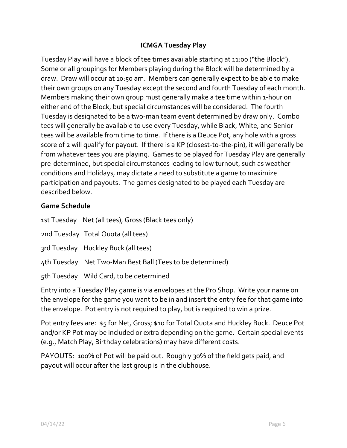#### **ICMGA Tuesday Play**

Tuesday Play will have a block of tee times available starting at 11:00 ("the Block"). Some or all groupings for Members playing during the Block will be determined by a draw. Draw will occur at 10:50 am. Members can generally expect to be able to make their own groups on any Tuesday except the second and fourth Tuesday of each month. Members making their own group must generally make a tee time within 1-hour on either end of the Block, but special circumstances will be considered. The fourth Tuesday is designated to be a two-man team event determined by draw only. Combo tees will generally be available to use every Tuesday, while Black, White, and Senior tees will be available from time to time. If there is a Deuce Pot, any hole with a gross score of 2 will qualify for payout. If there is a KP (closest-to-the-pin), it will generally be from whatever tees you are playing. Games to be played for Tuesday Play are generally pre-determined, but special circumstances leading to low turnout, such as weather conditions and Holidays, may dictate a need to substitute a game to maximize participation and payouts. The games designated to be played each Tuesday are described below.

#### **Game Schedule**

| 1st Tuesday Net (all tees), Gross (Black tees only)       |  |
|-----------------------------------------------------------|--|
| 2nd Tuesday Total Quota (all tees)                        |  |
| 3rd Tuesday Huckley Buck (all tees)                       |  |
| 4th Tuesday Net Two-Man Best Ball (Tees to be determined) |  |
| 5th Tuesday Wild Card, to be determined                   |  |

Entry into a Tuesday Play game is via envelopes at the Pro Shop. Write your name on the envelope for the game you want to be in and insert the entry fee for that game into the envelope. Pot entry is not required to play, but is required to win a prize.

Pot entry fees are: \$5 for Net, Gross; \$10 for Total Quota and Huckley Buck. Deuce Pot and/or KP Pot may be included or extra depending on the game. Certain special events (e.g., Match Play, Birthday celebrations) may have different costs.

PAYOUTS: 100% of Pot will be paid out. Roughly 30% of the field gets paid, and payout will occur after the last group is in the clubhouse.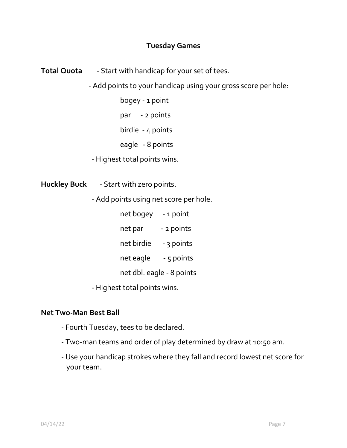## **Tuesday Games**

**Total Quota** - Start with handicap for your set of tees.

- Add points to your handicap using your gross score per hole:

bogey - 1 point

par - 2 points

birdie - 4 points

eagle - 8 points

- Highest total points wins.

**Huckley Buck** - Start with zero points.

- Add points using net score per hole.

net bogey - 1 point

net par - 2 points

net birdie - 3 points

net eagle - 5 points

net dbl. eagle - 8 points

- Highest total points wins.

#### **Net Two-Man Best Ball**

- Fourth Tuesday, tees to be declared.
- Two-man teams and order of play determined by draw at 10:50 am.
- Use your handicap strokes where they fall and record lowest net score for your team.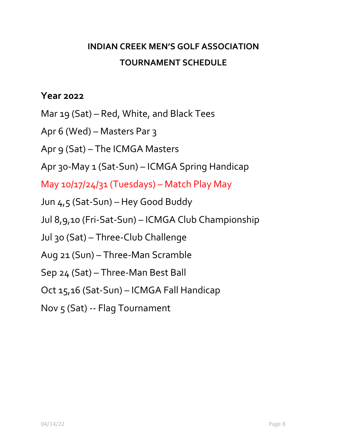# **INDIAN CREEK MEN'S GOLF ASSOCIATION TOURNAMENT SCHEDULE**

# **Year 2022**

Mar 19 (Sat) – Red, White, and Black Tees

Apr 6 (Wed) – Masters Par 3

Apr 9 (Sat) – The ICMGA Masters

Apr 30-May 1 (Sat-Sun) – ICMGA Spring Handicap

May 10/17/24/31 (Tuesdays) – Match Play May

Jun 4,5 (Sat-Sun) – Hey Good Buddy

Jul 8,9,10 (Fri-Sat-Sun) – ICMGA Club Championship

Jul 30 (Sat) – Three-Club Challenge

Aug 21 (Sun) – Three-Man Scramble

Sep 24 (Sat) – Three-Man Best Ball

Oct 15,16 (Sat-Sun) – ICMGA Fall Handicap

Nov 5 (Sat) -- Flag Tournament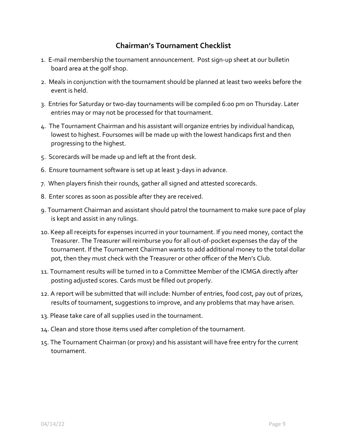## **Chairman's Tournament Checklist**

- 1. E-mail membership the tournament announcement. Post sign-up sheet at our bulletin board area at the golf shop.
- 2. Meals in conjunction with the tournament should be planned at least two weeks before the event is held.
- 3. Entries for Saturday or two-day tournaments will be compiled 6:00 pm on Thursday. Later entries may or may not be processed for that tournament.
- 4. The Tournament Chairman and his assistant will organize entries by individual handicap, lowest to highest. Foursomes will be made up with the lowest handicaps first and then progressing to the highest.
- 5. Scorecards will be made up and left at the front desk.
- 6. Ensure tournament software is set up at least 3-days in advance.
- 7. When players finish their rounds, gather all signed and attested scorecards.
- 8. Enter scores as soon as possible after they are received.
- 9. Tournament Chairman and assistant should patrol the tournament to make sure pace of play is kept and assist in any rulings.
- 10. Keep all receipts for expenses incurred in your tournament. If you need money, contact the Treasurer. The Treasurer will reimburse you for all out-of-pocket expenses the day of the tournament. If the Tournament Chairman wants to add additional money to the total dollar pot, then they must check with the Treasurer or other officer of the Men's Club.
- 11. Tournament results will be turned in to a Committee Member of the ICMGA directly after posting adjusted scores. Cards must be filled out properly.
- 12. A report will be submitted that will include: Number of entries, food cost, pay out of prizes, results of tournament, suggestions to improve, and any problems that may have arisen.
- 13. Please take care of all supplies used in the tournament.
- 14. Clean and store those items used after completion of the tournament.
- 15. The Tournament Chairman (or proxy) and his assistant will have free entry for the current tournament.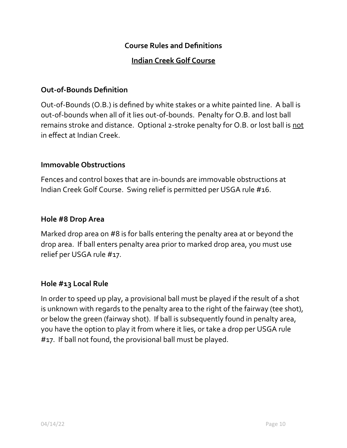## **Course Rules and Definitions**

## **Indian Creek Golf Course**

### **Out-of-Bounds Definition**

Out-of-Bounds (O.B.) is defined by white stakes or a white painted line. A ball is out-of-bounds when all of it lies out-of-bounds. Penalty for O.B. and lost ball remains stroke and distance. Optional 2-stroke penalty for O.B. or lost ball is not in effect at Indian Creek.

## **Immovable Obstructions**

Fences and control boxes that are in-bounds are immovable obstructions at Indian Creek Golf Course. Swing relief is permitted per USGA rule #16.

#### **Hole #8 Drop Area**

Marked drop area on #8 is for balls entering the penalty area at or beyond the drop area. If ball enters penalty area prior to marked drop area, you must use relief per USGA rule #17.

#### **Hole #13 Local Rule**

In order to speed up play, a provisional ball must be played if the result of a shot is unknown with regards to the penalty area to the right of the fairway (tee shot), or below the green (fairway shot). If ball is subsequently found in penalty area, you have the option to play it from where it lies, or take a drop per USGA rule #17. If ball not found, the provisional ball must be played.